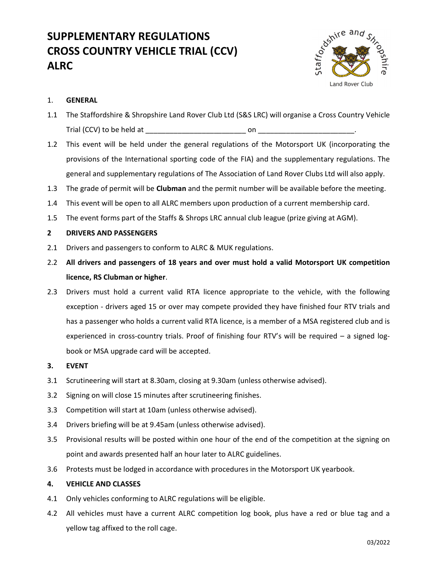# SUPPLEMENTARY REGULATIONS CROSS COUNTRY VEHICLE TRIAL (CCV) ALRC



## 1. GENERAL

- 1.1 The Staffordshire & Shropshire Land Rover Club Ltd (S&S LRC) will organise a Cross Country Vehicle Trial (CCV) to be held at \_\_\_\_\_\_\_\_\_\_\_\_\_\_\_\_\_\_\_\_\_\_\_\_\_ on \_\_\_\_\_\_\_\_\_\_\_\_\_\_\_\_\_\_\_\_\_\_\_\_.
- 1.2 This event will be held under the general regulations of the Motorsport UK (incorporating the provisions of the International sporting code of the FIA) and the supplementary regulations. The general and supplementary regulations of The Association of Land Rover Clubs Ltd will also apply.
- 1.3 The grade of permit will be **Clubman** and the permit number will be available before the meeting.
- 1.4 This event will be open to all ALRC members upon production of a current membership card.
- 1.5 The event forms part of the Staffs & Shrops LRC annual club league (prize giving at AGM).

### 2 DRIVERS AND PASSENGERS

- 2.1 Drivers and passengers to conform to ALRC & MUK regulations.
- 2.2 All drivers and passengers of 18 years and over must hold a valid Motorsport UK competition licence, RS Clubman or higher.
- 2.3 Drivers must hold a current valid RTA licence appropriate to the vehicle, with the following exception - drivers aged 15 or over may compete provided they have finished four RTV trials and has a passenger who holds a current valid RTA licence, is a member of a MSA registered club and is experienced in cross-country trials. Proof of finishing four RTV's will be required – a signed logbook or MSA upgrade card will be accepted.
- 3. EVENT
- 3.1 Scrutineering will start at 8.30am, closing at 9.30am (unless otherwise advised).
- 3.2 Signing on will close 15 minutes after scrutineering finishes.
- 3.3 Competition will start at 10am (unless otherwise advised).
- 3.4 Drivers briefing will be at 9.45am (unless otherwise advised).
- 3.5 Provisional results will be posted within one hour of the end of the competition at the signing on point and awards presented half an hour later to ALRC guidelines.
- 3.6 Protests must be lodged in accordance with procedures in the Motorsport UK yearbook.

### 4. VEHICLE AND CLASSES

- 4.1 Only vehicles conforming to ALRC regulations will be eligible.
- 4.2 All vehicles must have a current ALRC competition log book, plus have a red or blue tag and a yellow tag affixed to the roll cage.